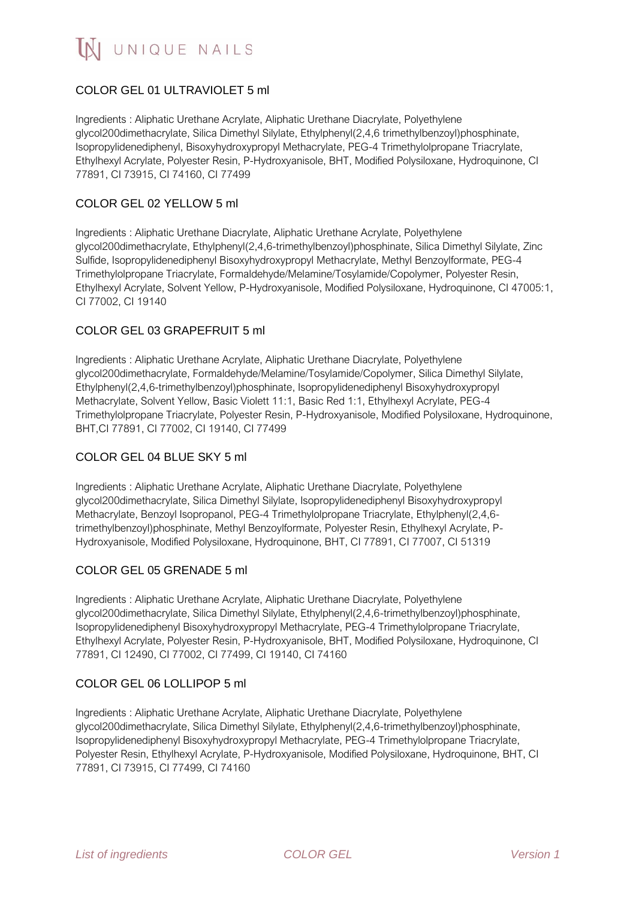# COLOR GEL 01 ULTRAVIOLET 5 ml

Ingredients : Aliphatic Urethane Acrylate, Aliphatic Urethane Diacrylate, Polyethylene glycol200dimethacrylate, Silica Dimethyl Silylate, Ethylphenyl(2,4,6 trimethylbenzoyl)phosphinate, Isopropylidenediphenyl, Bisoxyhydroxypropyl Methacrylate, PEG-4 Trimethylolpropane Triacrylate, Ethylhexyl Acrylate, Polyester Resin, P-Hydroxyanisole, BHT, Modified Polysiloxane, Hydroquinone, CI 77891, CI 73915, CI 74160, CI 77499

### COLOR GEL 02 YELLOW 5 ml

Ingredients : Aliphatic Urethane Diacrylate, Aliphatic Urethane Acrylate, Polyethylene glycol200dimethacrylate, Ethylphenyl(2,4,6-trimethylbenzoyl)phosphinate, Silica Dimethyl Silylate, Zinc Sulfide, Isopropylidenediphenyl Bisoxyhydroxypropyl Methacrylate, Methyl Benzoylformate, PEG-4 Trimethylolpropane Triacrylate, Formaldehyde/Melamine/Tosylamide/Copolymer, Polyester Resin, Ethylhexyl Acrylate, Solvent Yellow, P-Hydroxyanisole, Modified Polysiloxane, Hydroquinone, CI 47005:1, CI 77002, CI 19140

## COLOR GEL 03 GRAPEFRUIT 5 ml

Ingredients : Aliphatic Urethane Acrylate, Aliphatic Urethane Diacrylate, Polyethylene glycol200dimethacrylate, Formaldehyde/Melamine/Tosylamide/Copolymer, Silica Dimethyl Silylate, Ethylphenyl(2,4,6-trimethylbenzoyl)phosphinate, Isopropylidenediphenyl Bisoxyhydroxypropyl Methacrylate, Solvent Yellow, Basic Violett 11:1, Basic Red 1:1, Ethylhexyl Acrylate, PEG-4 Trimethylolpropane Triacrylate, Polyester Resin, P-Hydroxyanisole, Modified Polysiloxane, Hydroquinone, BHT,CI 77891, CI 77002, CI 19140, CI 77499

### COLOR GEL 04 BLUE SKY 5 ml

Ingredients : Aliphatic Urethane Acrylate, Aliphatic Urethane Diacrylate, Polyethylene glycol200dimethacrylate, Silica Dimethyl Silylate, Isopropylidenediphenyl Bisoxyhydroxypropyl Methacrylate, Benzoyl Isopropanol, PEG-4 Trimethylolpropane Triacrylate, Ethylphenyl(2,4,6 trimethylbenzoyl)phosphinate, Methyl Benzoylformate, Polyester Resin, Ethylhexyl Acrylate, P-Hydroxyanisole, Modified Polysiloxane, Hydroquinone, BHT, CI 77891, CI 77007, CI 51319

### COLOR GEL 05 GRENADE 5 ml

Ingredients : Aliphatic Urethane Acrylate, Aliphatic Urethane Diacrylate, Polyethylene glycol200dimethacrylate, Silica Dimethyl Silylate, Ethylphenyl(2,4,6-trimethylbenzoyl)phosphinate, Isopropylidenediphenyl Bisoxyhydroxypropyl Methacrylate, PEG-4 Trimethylolpropane Triacrylate, Ethylhexyl Acrylate, Polyester Resin, P-Hydroxyanisole, BHT, Modified Polysiloxane, Hydroquinone, CI 77891, CI 12490, CI 77002, CI 77499, CI 19140, CI 74160

### COLOR GEL 06 LOLLIPOP 5 ml

Ingredients : Aliphatic Urethane Acrylate, Aliphatic Urethane Diacrylate, Polyethylene glycol200dimethacrylate, Silica Dimethyl Silylate, Ethylphenyl(2,4,6-trimethylbenzoyl)phosphinate, Isopropylidenediphenyl Bisoxyhydroxypropyl Methacrylate, PEG-4 Trimethylolpropane Triacrylate, Polyester Resin, Ethylhexyl Acrylate, P-Hydroxyanisole, Modified Polysiloxane, Hydroquinone, BHT, CI 77891, CI 73915, CI 77499, CI 74160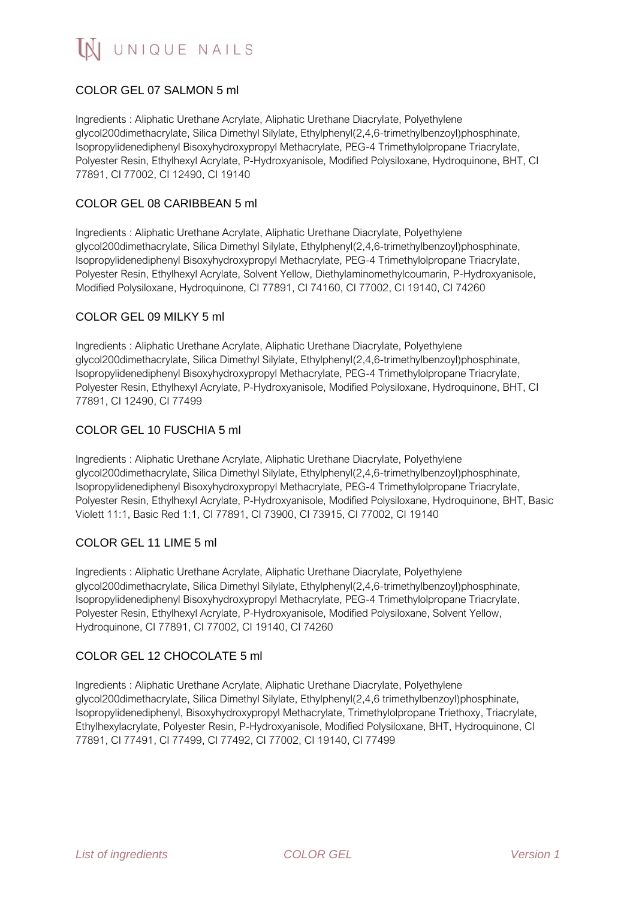# COLOR GEL 07 SALMON 5 ml

Ingredients : Aliphatic Urethane Acrylate, Aliphatic Urethane Diacrylate, Polyethylene glycol200dimethacrylate, Silica Dimethyl Silylate, Ethylphenyl(2,4,6-trimethylbenzoyl)phosphinate, Isopropylidenediphenyl Bisoxyhydroxypropyl Methacrylate, PEG-4 Trimethylolpropane Triacrylate, Polyester Resin, Ethylhexyl Acrylate, P-Hydroxyanisole, Modified Polysiloxane, Hydroquinone, BHT, CI 77891, CI 77002, CI 12490, CI 19140

#### COLOR GEL 08 CARIBBEAN 5 ml

Ingredients : Aliphatic Urethane Acrylate, Aliphatic Urethane Diacrylate, Polyethylene glycol200dimethacrylate, Silica Dimethyl Silylate, Ethylphenyl(2,4,6-trimethylbenzoyl)phosphinate, Isopropylidenediphenyl Bisoxyhydroxypropyl Methacrylate, PEG-4 Trimethylolpropane Triacrylate, Polyester Resin, Ethylhexyl Acrylate, Solvent Yellow, Diethylaminomethylcoumarin, P-Hydroxyanisole, Modified Polysiloxane, Hydroquinone, CI 77891, CI 74160, CI 77002, CI 19140, CI 74260

#### COLOR GEL 09 MILKY 5 ml

Ingredients : Aliphatic Urethane Acrylate, Aliphatic Urethane Diacrylate, Polyethylene glycol200dimethacrylate, Silica Dimethyl Silylate, Ethylphenyl(2,4,6-trimethylbenzoyl)phosphinate, Isopropylidenediphenyl Bisoxyhydroxypropyl Methacrylate, PEG-4 Trimethylolpropane Triacrylate, Polyester Resin, Ethylhexyl Acrylate, P-Hydroxyanisole, Modified Polysiloxane, Hydroquinone, BHT, CI 77891, CI 12490, CI 77499

### COLOR GEL 10 FUSCHIA 5 ml

Ingredients : Aliphatic Urethane Acrylate, Aliphatic Urethane Diacrylate, Polyethylene glycol200dimethacrylate, Silica Dimethyl Silylate, Ethylphenyl(2,4,6-trimethylbenzoyl)phosphinate, Isopropylidenediphenyl Bisoxyhydroxypropyl Methacrylate, PEG-4 Trimethylolpropane Triacrylate, Polyester Resin, Ethylhexyl Acrylate, P-Hydroxyanisole, Modified Polysiloxane, Hydroquinone, BHT, Basic Violett 11:1, Basic Red 1:1, CI 77891, CI 73900, CI 73915, CI 77002, CI 19140

#### COLOR GEL 11 LIME 5 ml

Ingredients : Aliphatic Urethane Acrylate, Aliphatic Urethane Diacrylate, Polyethylene glycol200dimethacrylate, Silica Dimethyl Silylate, Ethylphenyl(2,4,6-trimethylbenzoyl)phosphinate, Isopropylidenediphenyl Bisoxyhydroxypropyl Methacrylate, PEG-4 Trimethylolpropane Triacrylate, Polyester Resin, Ethylhexyl Acrylate, P-Hydroxyanisole, Modified Polysiloxane, Solvent Yellow, Hydroquinone, CI 77891, CI 77002, CI 19140, CI 74260

#### COLOR GEL 12 CHOCOLATE 5 ml

Ingredients : Aliphatic Urethane Acrylate, Aliphatic Urethane Diacrylate, Polyethylene glycol200dimethacrylate, Silica Dimethyl Silylate, Ethylphenyl(2,4,6 trimethylbenzoyl)phosphinate, Isopropylidenediphenyl, Bisoxyhydroxypropyl Methacrylate, Trimethylolpropane Triethoxy, Triacrylate, Ethylhexylacrylate, Polyester Resin, P-Hydroxyanisole, Modified Polysiloxane, BHT, Hydroquinone, CI 77891, CI 77491, CI 77499, CI 77492, CI 77002, CI 19140, CI 77499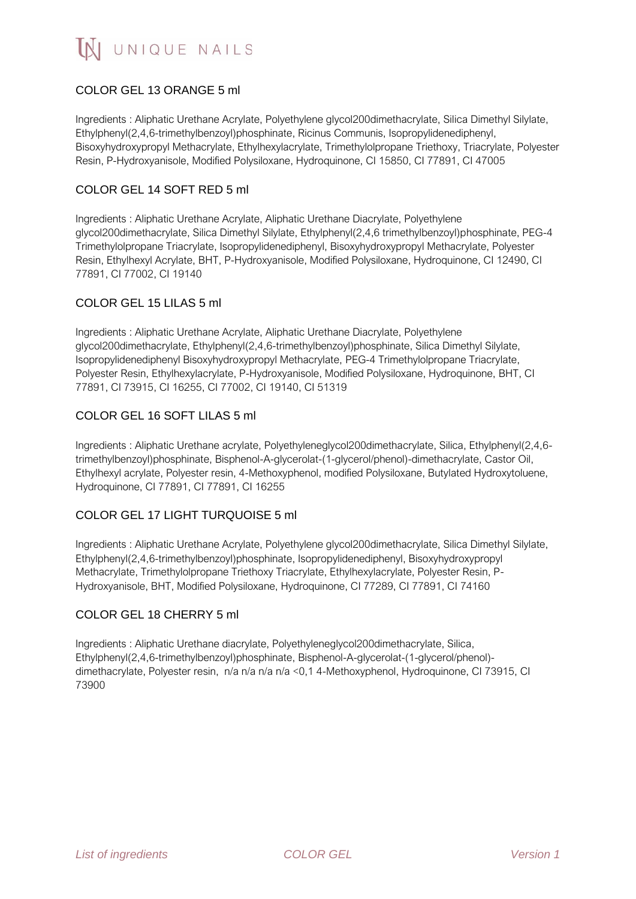# COLOR GEL 13 ORANGE 5 ml

Ingredients : Aliphatic Urethane Acrylate, Polyethylene glycol200dimethacrylate, Silica Dimethyl Silylate, Ethylphenyl(2,4,6-trimethylbenzoyl)phosphinate, Ricinus Communis, Isopropylidenediphenyl, Bisoxyhydroxypropyl Methacrylate, Ethylhexylacrylate, Trimethylolpropane Triethoxy, Triacrylate, Polyester Resin, P-Hydroxyanisole, Modified Polysiloxane, Hydroquinone, CI 15850, CI 77891, CI 47005

### COLOR GEL 14 SOFT RED 5 ml

Ingredients : Aliphatic Urethane Acrylate, Aliphatic Urethane Diacrylate, Polyethylene glycol200dimethacrylate, Silica Dimethyl Silylate, Ethylphenyl(2,4,6 trimethylbenzoyl)phosphinate, PEG-4 Trimethylolpropane Triacrylate, Isopropylidenediphenyl, Bisoxyhydroxypropyl Methacrylate, Polyester Resin, Ethylhexyl Acrylate, BHT, P-Hydroxyanisole, Modified Polysiloxane, Hydroquinone, CI 12490, CI 77891, CI 77002, CI 19140

## COLOR GEL 15 LILAS 5 ml

Ingredients : Aliphatic Urethane Acrylate, Aliphatic Urethane Diacrylate, Polyethylene glycol200dimethacrylate, Ethylphenyl(2,4,6-trimethylbenzoyl)phosphinate, Silica Dimethyl Silylate, Isopropylidenediphenyl Bisoxyhydroxypropyl Methacrylate, PEG-4 Trimethylolpropane Triacrylate, Polyester Resin, Ethylhexylacrylate, P-Hydroxyanisole, Modified Polysiloxane, Hydroquinone, BHT, CI 77891, CI 73915, CI 16255, CI 77002, CI 19140, CI 51319

## COLOR GEL 16 SOFT LILAS 5 ml

Ingredients : Aliphatic Urethane acrylate, Polyethyleneglycol200dimethacrylate, Silica, Ethylphenyl(2,4,6 trimethylbenzoyl)phosphinate, Bisphenol-A-glycerolat-(1-glycerol/phenol)-dimethacrylate, Castor Oil, Ethylhexyl acrylate, Polyester resin, 4-Methoxyphenol, modified Polysiloxane, Butylated Hydroxytoluene, Hydroquinone, CI 77891, CI 77891, CI 16255

# COLOR GEL 17 LIGHT TURQUOISE 5 ml

Ingredients : Aliphatic Urethane Acrylate, Polyethylene glycol200dimethacrylate, Silica Dimethyl Silylate, Ethylphenyl(2,4,6-trimethylbenzoyl)phosphinate, Isopropylidenediphenyl, Bisoxyhydroxypropyl Methacrylate, Trimethylolpropane Triethoxy Triacrylate, Ethylhexylacrylate, Polyester Resin, P-Hydroxyanisole, BHT, Modified Polysiloxane, Hydroquinone, CI 77289, CI 77891, CI 74160

### COLOR GEL 18 CHERRY 5 ml

Ingredients : Aliphatic Urethane diacrylate, Polyethyleneglycol200dimethacrylate, Silica, Ethylphenyl(2,4,6-trimethylbenzoyl)phosphinate, Bisphenol-A-glycerolat-(1-glycerol/phenol) dimethacrylate, Polyester resin, n/a n/a n/a n/a <0,1 4-Methoxyphenol, Hydroquinone, CI 73915, CI 73900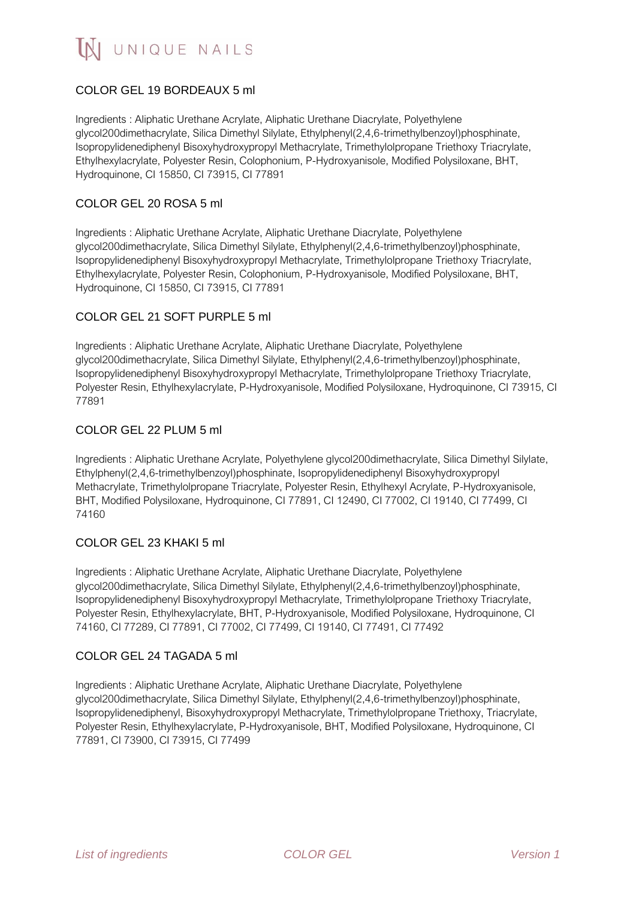# COLOR GEL 19 BORDEAUX 5 ml

Ingredients : Aliphatic Urethane Acrylate, Aliphatic Urethane Diacrylate, Polyethylene glycol200dimethacrylate, Silica Dimethyl Silylate, Ethylphenyl(2,4,6-trimethylbenzoyl)phosphinate, Isopropylidenediphenyl Bisoxyhydroxypropyl Methacrylate, Trimethylolpropane Triethoxy Triacrylate, Ethylhexylacrylate, Polyester Resin, Colophonium, P-Hydroxyanisole, Modified Polysiloxane, BHT, Hydroquinone, CI 15850, CI 73915, CI 77891

### COLOR GEL 20 ROSA 5 ml

Ingredients : Aliphatic Urethane Acrylate, Aliphatic Urethane Diacrylate, Polyethylene glycol200dimethacrylate, Silica Dimethyl Silylate, Ethylphenyl(2,4,6-trimethylbenzoyl)phosphinate, Isopropylidenediphenyl Bisoxyhydroxypropyl Methacrylate, Trimethylolpropane Triethoxy Triacrylate, Ethylhexylacrylate, Polyester Resin, Colophonium, P-Hydroxyanisole, Modified Polysiloxane, BHT, Hydroquinone, CI 15850, CI 73915, CI 77891

### COLOR GEL 21 SOFT PURPLE 5 ml

Ingredients : Aliphatic Urethane Acrylate, Aliphatic Urethane Diacrylate, Polyethylene glycol200dimethacrylate, Silica Dimethyl Silylate, Ethylphenyl(2,4,6-trimethylbenzoyl)phosphinate, Isopropylidenediphenyl Bisoxyhydroxypropyl Methacrylate, Trimethylolpropane Triethoxy Triacrylate, Polyester Resin, Ethylhexylacrylate, P-Hydroxyanisole, Modified Polysiloxane, Hydroquinone, CI 73915, CI 77891

### COLOR GEL 22 PLUM 5 ml

Ingredients : Aliphatic Urethane Acrylate, Polyethylene glycol200dimethacrylate, Silica Dimethyl Silylate, Ethylphenyl(2,4,6-trimethylbenzoyl)phosphinate, Isopropylidenediphenyl Bisoxyhydroxypropyl Methacrylate, Trimethylolpropane Triacrylate, Polyester Resin, Ethylhexyl Acrylate, P-Hydroxyanisole, BHT, Modified Polysiloxane, Hydroquinone, CI 77891, CI 12490, CI 77002, CI 19140, CI 77499, CI 74160

### COLOR GEL 23 KHAKI 5 ml

Ingredients : Aliphatic Urethane Acrylate, Aliphatic Urethane Diacrylate, Polyethylene glycol200dimethacrylate, Silica Dimethyl Silylate, Ethylphenyl(2,4,6-trimethylbenzoyl)phosphinate, Isopropylidenediphenyl Bisoxyhydroxypropyl Methacrylate, Trimethylolpropane Triethoxy Triacrylate, Polyester Resin, Ethylhexylacrylate, BHT, P-Hydroxyanisole, Modified Polysiloxane, Hydroquinone, CI 74160, CI 77289, CI 77891, CI 77002, CI 77499, CI 19140, CI 77491, CI 77492

#### COLOR GEL 24 TAGADA 5 ml

Ingredients : Aliphatic Urethane Acrylate, Aliphatic Urethane Diacrylate, Polyethylene glycol200dimethacrylate, Silica Dimethyl Silylate, Ethylphenyl(2,4,6-trimethylbenzoyl)phosphinate, Isopropylidenediphenyl, Bisoxyhydroxypropyl Methacrylate, Trimethylolpropane Triethoxy, Triacrylate, Polyester Resin, Ethylhexylacrylate, P-Hydroxyanisole, BHT, Modified Polysiloxane, Hydroquinone, CI 77891, CI 73900, CI 73915, CI 77499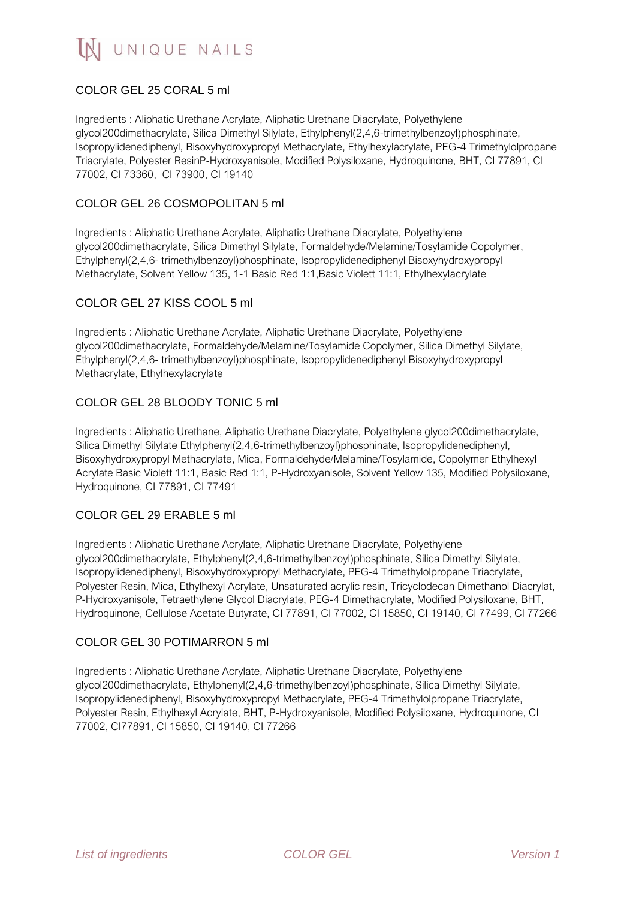# COLOR GEL 25 CORAL 5 ml

Ingredients : Aliphatic Urethane Acrylate, Aliphatic Urethane Diacrylate, Polyethylene glycol200dimethacrylate, Silica Dimethyl Silylate, Ethylphenyl(2,4,6-trimethylbenzoyl)phosphinate, Isopropylidenediphenyl, Bisoxyhydroxypropyl Methacrylate, Ethylhexylacrylate, PEG-4 Trimethylolpropane Triacrylate, Polyester ResinP-Hydroxyanisole, Modified Polysiloxane, Hydroquinone, BHT, CI 77891, CI 77002, CI 73360, CI 73900, CI 19140

## COLOR GEL 26 COSMOPOLITAN 5 ml

Ingredients : Aliphatic Urethane Acrylate, Aliphatic Urethane Diacrylate, Polyethylene glycol200dimethacrylate, Silica Dimethyl Silylate, Formaldehyde/Melamine/Tosylamide Copolymer, Ethylphenyl(2,4,6- trimethylbenzoyl)phosphinate, Isopropylidenediphenyl Bisoxyhydroxypropyl Methacrylate, Solvent Yellow 135, 1-1 Basic Red 1:1,Basic Violett 11:1, Ethylhexylacrylate

# COLOR GEL 27 KISS COOL 5 ml

Ingredients : Aliphatic Urethane Acrylate, Aliphatic Urethane Diacrylate, Polyethylene glycol200dimethacrylate, Formaldehyde/Melamine/Tosylamide Copolymer, Silica Dimethyl Silylate, Ethylphenyl(2,4,6- trimethylbenzoyl)phosphinate, Isopropylidenediphenyl Bisoxyhydroxypropyl Methacrylate, Ethylhexylacrylate

## COLOR GEL 28 BLOODY TONIC 5 ml

Ingredients : Aliphatic Urethane, Aliphatic Urethane Diacrylate, Polyethylene glycol200dimethacrylate, Silica Dimethyl Silylate Ethylphenyl(2,4,6-trimethylbenzoyl)phosphinate, Isopropylidenediphenyl, Bisoxyhydroxypropyl Methacrylate, Mica, Formaldehyde/Melamine/Tosylamide, Copolymer Ethylhexyl Acrylate Basic Violett 11:1, Basic Red 1:1, P-Hydroxyanisole, Solvent Yellow 135, Modified Polysiloxane, Hydroquinone, CI 77891, CI 77491

### COLOR GEL 29 ERABLE 5 ml

Ingredients : Aliphatic Urethane Acrylate, Aliphatic Urethane Diacrylate, Polyethylene glycol200dimethacrylate, Ethylphenyl(2,4,6-trimethylbenzoyl)phosphinate, Silica Dimethyl Silylate, Isopropylidenediphenyl, Bisoxyhydroxypropyl Methacrylate, PEG-4 Trimethylolpropane Triacrylate, Polyester Resin, Mica, Ethylhexyl Acrylate, Unsaturated acrylic resin, Tricyclodecan Dimethanol Diacrylat, P-Hydroxyanisole, Tetraethylene Glycol Diacrylate, PEG-4 Dimethacrylate, Modified Polysiloxane, BHT, Hydroquinone, Cellulose Acetate Butyrate, CI 77891, CI 77002, CI 15850, CI 19140, CI 77499, CI 77266

### COLOR GEL 30 POTIMARRON 5 ml

Ingredients : Aliphatic Urethane Acrylate, Aliphatic Urethane Diacrylate, Polyethylene glycol200dimethacrylate, Ethylphenyl(2,4,6-trimethylbenzoyl)phosphinate, Silica Dimethyl Silylate, Isopropylidenediphenyl, Bisoxyhydroxypropyl Methacrylate, PEG-4 Trimethylolpropane Triacrylate, Polyester Resin, Ethylhexyl Acrylate, BHT, P-Hydroxyanisole, Modified Polysiloxane, Hydroquinone, CI 77002, CI77891, CI 15850, CI 19140, CI 77266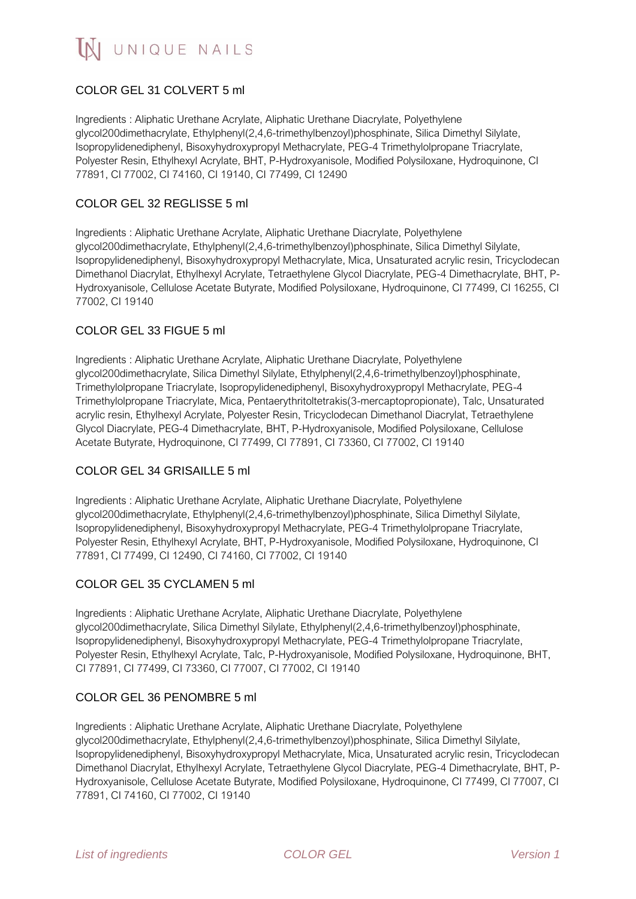# COLOR GEL 31 COLVERT 5 ml

Ingredients : Aliphatic Urethane Acrylate, Aliphatic Urethane Diacrylate, Polyethylene glycol200dimethacrylate, Ethylphenyl(2,4,6-trimethylbenzoyl)phosphinate, Silica Dimethyl Silylate, Isopropylidenediphenyl, Bisoxyhydroxypropyl Methacrylate, PEG-4 Trimethylolpropane Triacrylate, Polyester Resin, Ethylhexyl Acrylate, BHT, P-Hydroxyanisole, Modified Polysiloxane, Hydroquinone, CI 77891, CI 77002, CI 74160, CI 19140, CI 77499, CI 12490

### COLOR GEL 32 REGLISSE 5 ml

Ingredients : Aliphatic Urethane Acrylate, Aliphatic Urethane Diacrylate, Polyethylene glycol200dimethacrylate, Ethylphenyl(2,4,6-trimethylbenzoyl)phosphinate, Silica Dimethyl Silylate, Isopropylidenediphenyl, Bisoxyhydroxypropyl Methacrylate, Mica, Unsaturated acrylic resin, Tricyclodecan Dimethanol Diacrylat, Ethylhexyl Acrylate, Tetraethylene Glycol Diacrylate, PEG-4 Dimethacrylate, BHT, P-Hydroxyanisole, Cellulose Acetate Butyrate, Modified Polysiloxane, Hydroquinone, CI 77499, CI 16255, CI 77002, CI 19140

## COLOR GEL 33 FIGUE 5 ml

Ingredients : Aliphatic Urethane Acrylate, Aliphatic Urethane Diacrylate, Polyethylene glycol200dimethacrylate, Silica Dimethyl Silylate, Ethylphenyl(2,4,6-trimethylbenzoyl)phosphinate, Trimethylolpropane Triacrylate, Isopropylidenediphenyl, Bisoxyhydroxypropyl Methacrylate, PEG-4 Trimethylolpropane Triacrylate, Mica, Pentaerythritoltetrakis(3-mercaptopropionate), Talc, Unsaturated acrylic resin, Ethylhexyl Acrylate, Polyester Resin, Tricyclodecan Dimethanol Diacrylat, Tetraethylene Glycol Diacrylate, PEG-4 Dimethacrylate, BHT, P-Hydroxyanisole, Modified Polysiloxane, Cellulose Acetate Butyrate, Hydroquinone, CI 77499, CI 77891, CI 73360, CI 77002, CI 19140

### COLOR GEL 34 GRISAILLE 5 ml

Ingredients : Aliphatic Urethane Acrylate, Aliphatic Urethane Diacrylate, Polyethylene glycol200dimethacrylate, Ethylphenyl(2,4,6-trimethylbenzoyl)phosphinate, Silica Dimethyl Silylate, Isopropylidenediphenyl, Bisoxyhydroxypropyl Methacrylate, PEG-4 Trimethylolpropane Triacrylate, Polyester Resin, Ethylhexyl Acrylate, BHT, P-Hydroxyanisole, Modified Polysiloxane, Hydroquinone, CI 77891, CI 77499, CI 12490, CI 74160, CI 77002, CI 19140

### COLOR GEL 35 CYCLAMEN 5 ml

Ingredients : Aliphatic Urethane Acrylate, Aliphatic Urethane Diacrylate, Polyethylene glycol200dimethacrylate, Silica Dimethyl Silylate, Ethylphenyl(2,4,6-trimethylbenzoyl)phosphinate, Isopropylidenediphenyl, Bisoxyhydroxypropyl Methacrylate, PEG-4 Trimethylolpropane Triacrylate, Polyester Resin, Ethylhexyl Acrylate, Talc, P-Hydroxyanisole, Modified Polysiloxane, Hydroquinone, BHT, CI 77891, CI 77499, CI 73360, CI 77007, CI 77002, CI 19140

### COLOR GEL 36 PENOMBRE 5 ml

Ingredients : Aliphatic Urethane Acrylate, Aliphatic Urethane Diacrylate, Polyethylene glycol200dimethacrylate, Ethylphenyl(2,4,6-trimethylbenzoyl)phosphinate, Silica Dimethyl Silylate, Isopropylidenediphenyl, Bisoxyhydroxypropyl Methacrylate, Mica, Unsaturated acrylic resin, Tricyclodecan Dimethanol Diacrylat, Ethylhexyl Acrylate, Tetraethylene Glycol Diacrylate, PEG-4 Dimethacrylate, BHT, P-Hydroxyanisole, Cellulose Acetate Butyrate, Modified Polysiloxane, Hydroquinone, CI 77499, CI 77007, CI 77891, CI 74160, CI 77002, CI 19140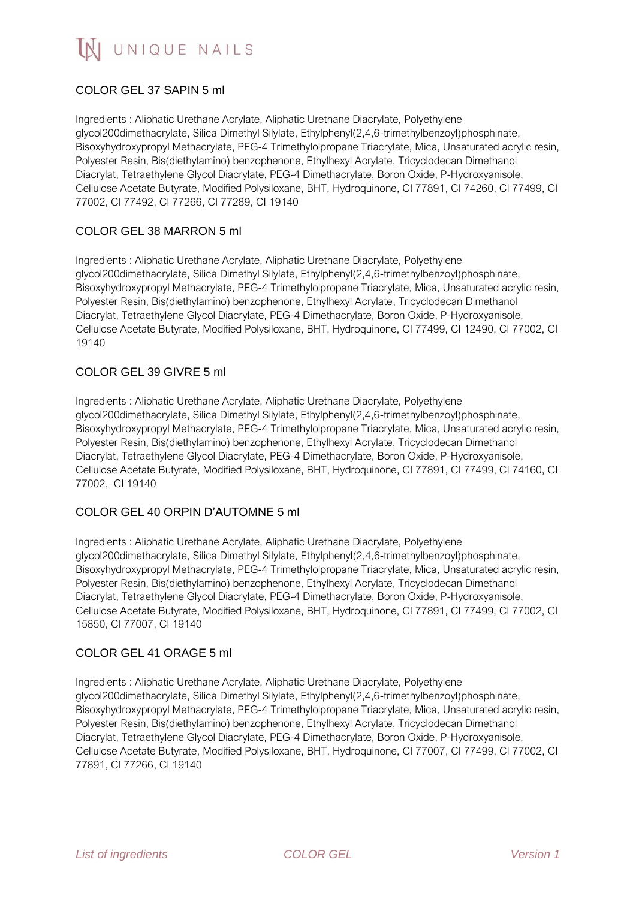# COLOR GEL 37 SAPIN 5 ml

Ingredients : Aliphatic Urethane Acrylate, Aliphatic Urethane Diacrylate, Polyethylene glycol200dimethacrylate, Silica Dimethyl Silylate, Ethylphenyl(2,4,6-trimethylbenzoyl)phosphinate, Bisoxyhydroxypropyl Methacrylate, PEG-4 Trimethylolpropane Triacrylate, Mica, Unsaturated acrylic resin, Polyester Resin, Bis(diethylamino) benzophenone, Ethylhexyl Acrylate, Tricyclodecan Dimethanol Diacrylat, Tetraethylene Glycol Diacrylate, PEG-4 Dimethacrylate, Boron Oxide, P-Hydroxyanisole, Cellulose Acetate Butyrate, Modified Polysiloxane, BHT, Hydroquinone, CI 77891, CI 74260, CI 77499, CI 77002, CI 77492, CI 77266, CI 77289, CI 19140

### COLOR GEL 38 MARRON 5 ml

Ingredients : Aliphatic Urethane Acrylate, Aliphatic Urethane Diacrylate, Polyethylene glycol200dimethacrylate, Silica Dimethyl Silylate, Ethylphenyl(2,4,6-trimethylbenzoyl)phosphinate, Bisoxyhydroxypropyl Methacrylate, PEG-4 Trimethylolpropane Triacrylate, Mica, Unsaturated acrylic resin, Polyester Resin, Bis(diethylamino) benzophenone, Ethylhexyl Acrylate, Tricyclodecan Dimethanol Diacrylat, Tetraethylene Glycol Diacrylate, PEG-4 Dimethacrylate, Boron Oxide, P-Hydroxyanisole, Cellulose Acetate Butyrate, Modified Polysiloxane, BHT, Hydroquinone, CI 77499, CI 12490, CI 77002, CI 19140

## COLOR GEL 39 GIVRE 5 ml

Ingredients : Aliphatic Urethane Acrylate, Aliphatic Urethane Diacrylate, Polyethylene glycol200dimethacrylate, Silica Dimethyl Silylate, Ethylphenyl(2,4,6-trimethylbenzoyl)phosphinate, Bisoxyhydroxypropyl Methacrylate, PEG-4 Trimethylolpropane Triacrylate, Mica, Unsaturated acrylic resin, Polyester Resin, Bis(diethylamino) benzophenone, Ethylhexyl Acrylate, Tricyclodecan Dimethanol Diacrylat, Tetraethylene Glycol Diacrylate, PEG-4 Dimethacrylate, Boron Oxide, P-Hydroxyanisole, Cellulose Acetate Butyrate, Modified Polysiloxane, BHT, Hydroquinone, CI 77891, CI 77499, CI 74160, CI 77002, CI 19140

### COLOR GEL 40 ORPIN D'AUTOMNE 5 ml

Ingredients : Aliphatic Urethane Acrylate, Aliphatic Urethane Diacrylate, Polyethylene glycol200dimethacrylate, Silica Dimethyl Silylate, Ethylphenyl(2,4,6-trimethylbenzoyl)phosphinate, Bisoxyhydroxypropyl Methacrylate, PEG-4 Trimethylolpropane Triacrylate, Mica, Unsaturated acrylic resin, Polyester Resin, Bis(diethylamino) benzophenone, Ethylhexyl Acrylate, Tricyclodecan Dimethanol Diacrylat, Tetraethylene Glycol Diacrylate, PEG-4 Dimethacrylate, Boron Oxide, P-Hydroxyanisole, Cellulose Acetate Butyrate, Modified Polysiloxane, BHT, Hydroquinone, CI 77891, CI 77499, CI 77002, CI 15850, CI 77007, CI 19140

### COLOR GEL 41 ORAGE 5 ml

Ingredients : Aliphatic Urethane Acrylate, Aliphatic Urethane Diacrylate, Polyethylene glycol200dimethacrylate, Silica Dimethyl Silylate, Ethylphenyl(2,4,6-trimethylbenzoyl)phosphinate, Bisoxyhydroxypropyl Methacrylate, PEG-4 Trimethylolpropane Triacrylate, Mica, Unsaturated acrylic resin, Polyester Resin, Bis(diethylamino) benzophenone, Ethylhexyl Acrylate, Tricyclodecan Dimethanol Diacrylat, Tetraethylene Glycol Diacrylate, PEG-4 Dimethacrylate, Boron Oxide, P-Hydroxyanisole, Cellulose Acetate Butyrate, Modified Polysiloxane, BHT, Hydroquinone, CI 77007, CI 77499, CI 77002, CI 77891, CI 77266, CI 19140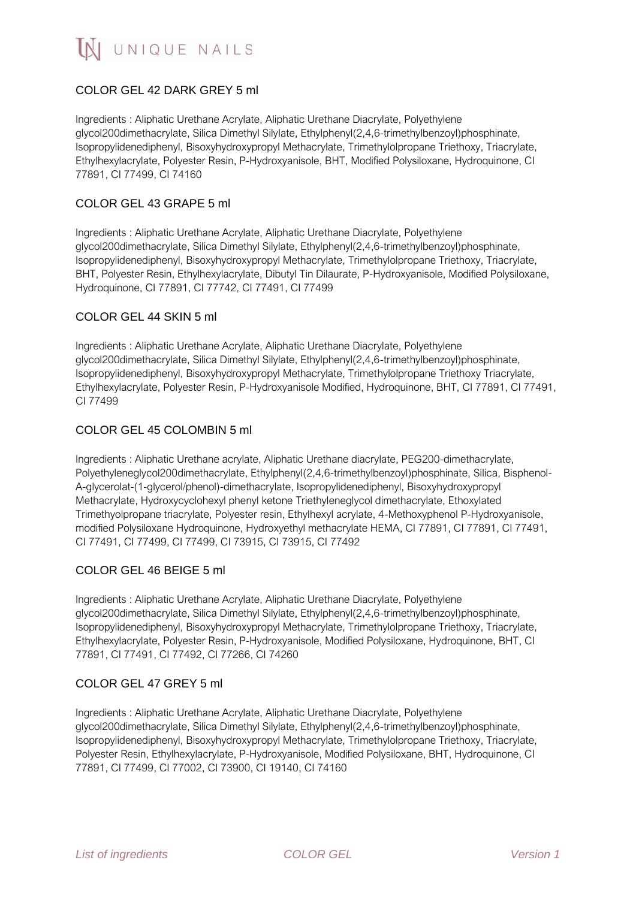# COLOR GEL 42 DARK GREY 5 ml

Ingredients : Aliphatic Urethane Acrylate, Aliphatic Urethane Diacrylate, Polyethylene glycol200dimethacrylate, Silica Dimethyl Silylate, Ethylphenyl(2,4,6-trimethylbenzoyl)phosphinate, Isopropylidenediphenyl, Bisoxyhydroxypropyl Methacrylate, Trimethylolpropane Triethoxy, Triacrylate, Ethylhexylacrylate, Polyester Resin, P-Hydroxyanisole, BHT, Modified Polysiloxane, Hydroquinone, CI 77891, CI 77499, CI 74160

#### COLOR GEL 43 GRAPE 5 ml

Ingredients : Aliphatic Urethane Acrylate, Aliphatic Urethane Diacrylate, Polyethylene glycol200dimethacrylate, Silica Dimethyl Silylate, Ethylphenyl(2,4,6-trimethylbenzoyl)phosphinate, Isopropylidenediphenyl, Bisoxyhydroxypropyl Methacrylate, Trimethylolpropane Triethoxy, Triacrylate, BHT, Polyester Resin, Ethylhexylacrylate, Dibutyl Tin Dilaurate, P-Hydroxyanisole, Modified Polysiloxane, Hydroquinone, CI 77891, CI 77742, CI 77491, CI 77499

#### COLOR GEL 44 SKIN 5 ml

Ingredients : Aliphatic Urethane Acrylate, Aliphatic Urethane Diacrylate, Polyethylene glycol200dimethacrylate, Silica Dimethyl Silylate, Ethylphenyl(2,4,6-trimethylbenzoyl)phosphinate, Isopropylidenediphenyl, Bisoxyhydroxypropyl Methacrylate, Trimethylolpropane Triethoxy Triacrylate, Ethylhexylacrylate, Polyester Resin, P-Hydroxyanisole Modified, Hydroquinone, BHT, CI 77891, CI 77491, CI 77499

### COLOR GEL 45 COLOMBIN 5 ml

Ingredients : Aliphatic Urethane acrylate, Aliphatic Urethane diacrylate, PEG200-dimethacrylate, Polyethyleneglycol200dimethacrylate, Ethylphenyl(2,4,6-trimethylbenzoyl)phosphinate, Silica, Bisphenol-A-glycerolat-(1-glycerol/phenol)-dimethacrylate, Isopropylidenediphenyl, Bisoxyhydroxypropyl Methacrylate, Hydroxycyclohexyl phenyl ketone Triethyleneglycol dimethacrylate, Ethoxylated Trimethyolpropane triacrylate, Polyester resin, Ethylhexyl acrylate, 4-Methoxyphenol P-Hydroxyanisole, modified Polysiloxane Hydroquinone, Hydroxyethyl methacrylate HEMA, CI 77891, CI 77891, CI 77491, CI 77491, CI 77499, CI 77499, CI 73915, CI 73915, CI 77492

### COLOR GEL 46 BEIGE 5 ml

Ingredients : Aliphatic Urethane Acrylate, Aliphatic Urethane Diacrylate, Polyethylene glycol200dimethacrylate, Silica Dimethyl Silylate, Ethylphenyl(2,4,6-trimethylbenzoyl)phosphinate, Isopropylidenediphenyl, Bisoxyhydroxypropyl Methacrylate, Trimethylolpropane Triethoxy, Triacrylate, Ethylhexylacrylate, Polyester Resin, P-Hydroxyanisole, Modified Polysiloxane, Hydroquinone, BHT, CI 77891, CI 77491, CI 77492, CI 77266, CI 74260

#### COLOR GEL 47 GREY 5 ml

Ingredients : Aliphatic Urethane Acrylate, Aliphatic Urethane Diacrylate, Polyethylene glycol200dimethacrylate, Silica Dimethyl Silylate, Ethylphenyl(2,4,6-trimethylbenzoyl)phosphinate, Isopropylidenediphenyl, Bisoxyhydroxypropyl Methacrylate, Trimethylolpropane Triethoxy, Triacrylate, Polyester Resin, Ethylhexylacrylate, P-Hydroxyanisole, Modified Polysiloxane, BHT, Hydroquinone, CI 77891, CI 77499, CI 77002, CI 73900, CI 19140, CI 74160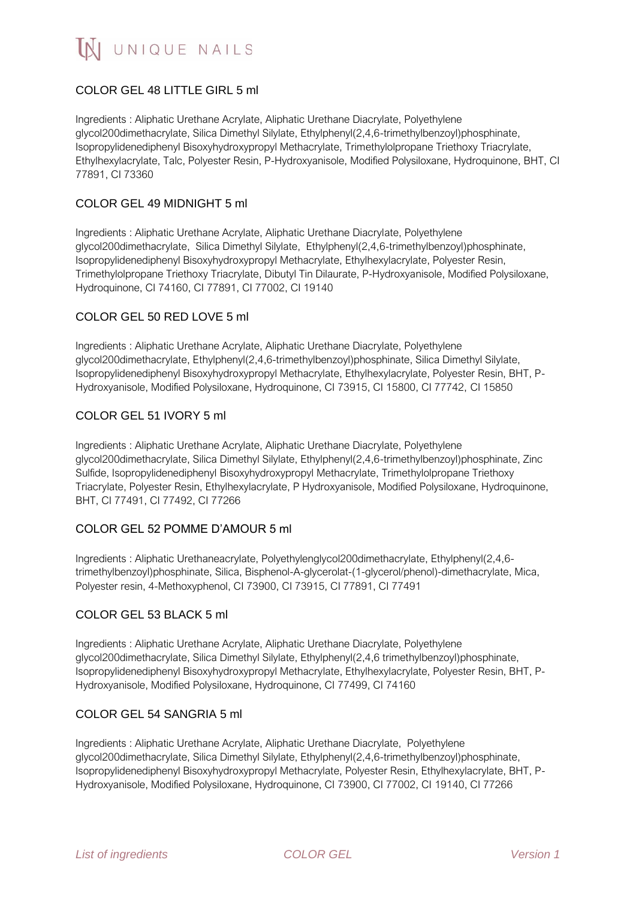## COLOR GEL 48 LITTLE GIRL 5 ml

Ingredients : Aliphatic Urethane Acrylate, Aliphatic Urethane Diacrylate, Polyethylene glycol200dimethacrylate, Silica Dimethyl Silylate, Ethylphenyl(2,4,6-trimethylbenzoyl)phosphinate, Isopropylidenediphenyl Bisoxyhydroxypropyl Methacrylate, Trimethylolpropane Triethoxy Triacrylate, Ethylhexylacrylate, Talc, Polyester Resin, P-Hydroxyanisole, Modified Polysiloxane, Hydroquinone, BHT, CI 77891, CI 73360

#### COLOR GEL 49 MIDNIGHT 5 ml

Ingredients : Aliphatic Urethane Acrylate, Aliphatic Urethane Diacrylate, Polyethylene glycol200dimethacrylate, Silica Dimethyl Silylate, Ethylphenyl(2,4,6-trimethylbenzoyl)phosphinate, Isopropylidenediphenyl Bisoxyhydroxypropyl Methacrylate, Ethylhexylacrylate, Polyester Resin, Trimethylolpropane Triethoxy Triacrylate, Dibutyl Tin Dilaurate, P-Hydroxyanisole, Modified Polysiloxane, Hydroquinone, CI 74160, CI 77891, CI 77002, CI 19140

### COLOR GEL 50 RED LOVE 5 ml

Ingredients : Aliphatic Urethane Acrylate, Aliphatic Urethane Diacrylate, Polyethylene glycol200dimethacrylate, Ethylphenyl(2,4,6-trimethylbenzoyl)phosphinate, Silica Dimethyl Silylate, Isopropylidenediphenyl Bisoxyhydroxypropyl Methacrylate, Ethylhexylacrylate, Polyester Resin, BHT, P-Hydroxyanisole, Modified Polysiloxane, Hydroquinone, CI 73915, CI 15800, CI 77742, CI 15850

#### COLOR GEL 51 IVORY 5 ml

Ingredients : Aliphatic Urethane Acrylate, Aliphatic Urethane Diacrylate, Polyethylene glycol200dimethacrylate, Silica Dimethyl Silylate, Ethylphenyl(2,4,6-trimethylbenzoyl)phosphinate, Zinc Sulfide, Isopropylidenediphenyl Bisoxyhydroxypropyl Methacrylate, Trimethylolpropane Triethoxy Triacrylate, Polyester Resin, Ethylhexylacrylate, P Hydroxyanisole, Modified Polysiloxane, Hydroquinone, BHT, CI 77491, CI 77492, CI 77266

#### COLOR GEL 52 POMME D'AMOUR 5 ml

Ingredients : Aliphatic Urethaneacrylate, Polyethylenglycol200dimethacrylate, Ethylphenyl(2,4,6 trimethylbenzoyl)phosphinate, Silica, Bisphenol-A-glycerolat-(1-glycerol/phenol)-dimethacrylate, Mica, Polyester resin, 4-Methoxyphenol, CI 73900, CI 73915, CI 77891, CI 77491

### COLOR GEL 53 BLACK 5 ml

Ingredients : Aliphatic Urethane Acrylate, Aliphatic Urethane Diacrylate, Polyethylene glycol200dimethacrylate, Silica Dimethyl Silylate, Ethylphenyl(2,4,6 trimethylbenzoyl)phosphinate, Isopropylidenediphenyl Bisoxyhydroxypropyl Methacrylate, Ethylhexylacrylate, Polyester Resin, BHT, P-Hydroxyanisole, Modified Polysiloxane, Hydroquinone, CI 77499, CI 74160

#### COLOR GEL 54 SANGRIA 5 ml

Ingredients : Aliphatic Urethane Acrylate, Aliphatic Urethane Diacrylate, Polyethylene glycol200dimethacrylate, Silica Dimethyl Silylate, Ethylphenyl(2,4,6-trimethylbenzoyl)phosphinate, Isopropylidenediphenyl Bisoxyhydroxypropyl Methacrylate, Polyester Resin, Ethylhexylacrylate, BHT, P-Hydroxyanisole, Modified Polysiloxane, Hydroquinone, CI 73900, CI 77002, CI 19140, CI 77266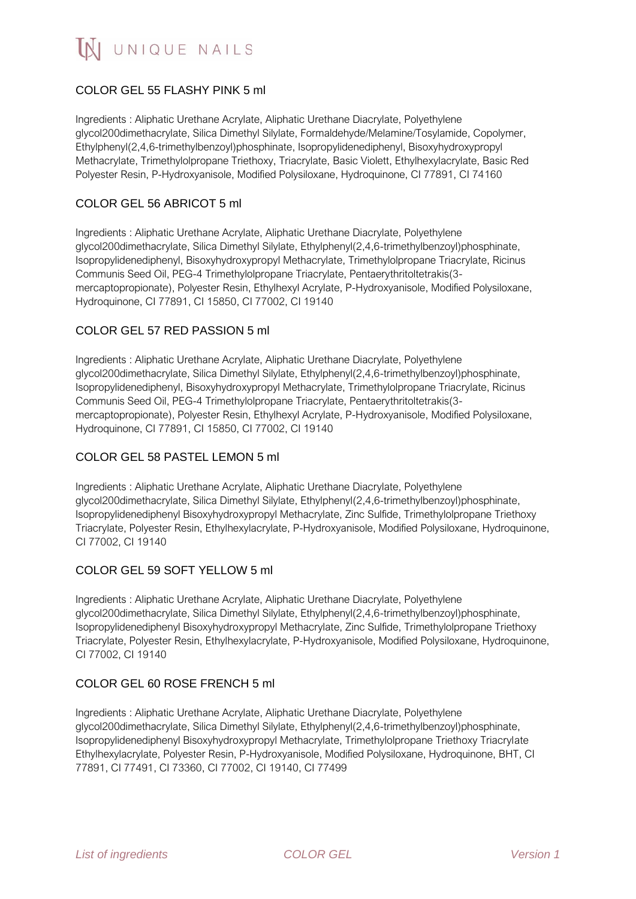# COLOR GEL 55 FLASHY PINK 5 ml

Ingredients : Aliphatic Urethane Acrylate, Aliphatic Urethane Diacrylate, Polyethylene glycol200dimethacrylate, Silica Dimethyl Silylate, Formaldehyde/Melamine/Tosylamide, Copolymer, Ethylphenyl(2,4,6-trimethylbenzoyl)phosphinate, Isopropylidenediphenyl, Bisoxyhydroxypropyl Methacrylate, Trimethylolpropane Triethoxy, Triacrylate, Basic Violett, Ethylhexylacrylate, Basic Red Polyester Resin, P-Hydroxyanisole, Modified Polysiloxane, Hydroquinone, CI 77891, CI 74160

#### COLOR GEL 56 ABRICOT 5 ml

Ingredients : Aliphatic Urethane Acrylate, Aliphatic Urethane Diacrylate, Polyethylene glycol200dimethacrylate, Silica Dimethyl Silylate, Ethylphenyl(2,4,6-trimethylbenzoyl)phosphinate, Isopropylidenediphenyl, Bisoxyhydroxypropyl Methacrylate, Trimethylolpropane Triacrylate, Ricinus Communis Seed Oil, PEG-4 Trimethylolpropane Triacrylate, Pentaerythritoltetrakis(3 mercaptopropionate), Polyester Resin, Ethylhexyl Acrylate, P-Hydroxyanisole, Modified Polysiloxane, Hydroquinone, CI 77891, CI 15850, CI 77002, CI 19140

## COLOR GEL 57 RED PASSION 5 ml

Ingredients : Aliphatic Urethane Acrylate, Aliphatic Urethane Diacrylate, Polyethylene glycol200dimethacrylate, Silica Dimethyl Silylate, Ethylphenyl(2,4,6-trimethylbenzoyl)phosphinate, Isopropylidenediphenyl, Bisoxyhydroxypropyl Methacrylate, Trimethylolpropane Triacrylate, Ricinus Communis Seed Oil, PEG-4 Trimethylolpropane Triacrylate, Pentaerythritoltetrakis(3 mercaptopropionate), Polyester Resin, Ethylhexyl Acrylate, P-Hydroxyanisole, Modified Polysiloxane, Hydroquinone, CI 77891, CI 15850, CI 77002, CI 19140

### COLOR GEL 58 PASTEL LEMON 5 ml

Ingredients : Aliphatic Urethane Acrylate, Aliphatic Urethane Diacrylate, Polyethylene glycol200dimethacrylate, Silica Dimethyl Silylate, Ethylphenyl(2,4,6-trimethylbenzoyl)phosphinate, Isopropylidenediphenyl Bisoxyhydroxypropyl Methacrylate, Zinc Sulfide, Trimethylolpropane Triethoxy Triacrylate, Polyester Resin, Ethylhexylacrylate, P-Hydroxyanisole, Modified Polysiloxane, Hydroquinone, CI 77002, CI 19140

### COLOR GEL 59 SOFT YELLOW 5 ml

Ingredients : Aliphatic Urethane Acrylate, Aliphatic Urethane Diacrylate, Polyethylene glycol200dimethacrylate, Silica Dimethyl Silylate, Ethylphenyl(2,4,6-trimethylbenzoyl)phosphinate, Isopropylidenediphenyl Bisoxyhydroxypropyl Methacrylate, Zinc Sulfide, Trimethylolpropane Triethoxy Triacrylate, Polyester Resin, Ethylhexylacrylate, P-Hydroxyanisole, Modified Polysiloxane, Hydroquinone, CI 77002, CI 19140

### COLOR GEL 60 ROSE FRENCH 5 ml

Ingredients : Aliphatic Urethane Acrylate, Aliphatic Urethane Diacrylate, Polyethylene glycol200dimethacrylate, Silica Dimethyl Silylate, Ethylphenyl(2,4,6-trimethylbenzoyl)phosphinate, Isopropylidenediphenyl Bisoxyhydroxypropyl Methacrylate, Trimethylolpropane Triethoxy Triacrylate Ethylhexylacrylate, Polyester Resin, P-Hydroxyanisole, Modified Polysiloxane, Hydroquinone, BHT, CI 77891, CI 77491, CI 73360, CI 77002, CI 19140, CI 77499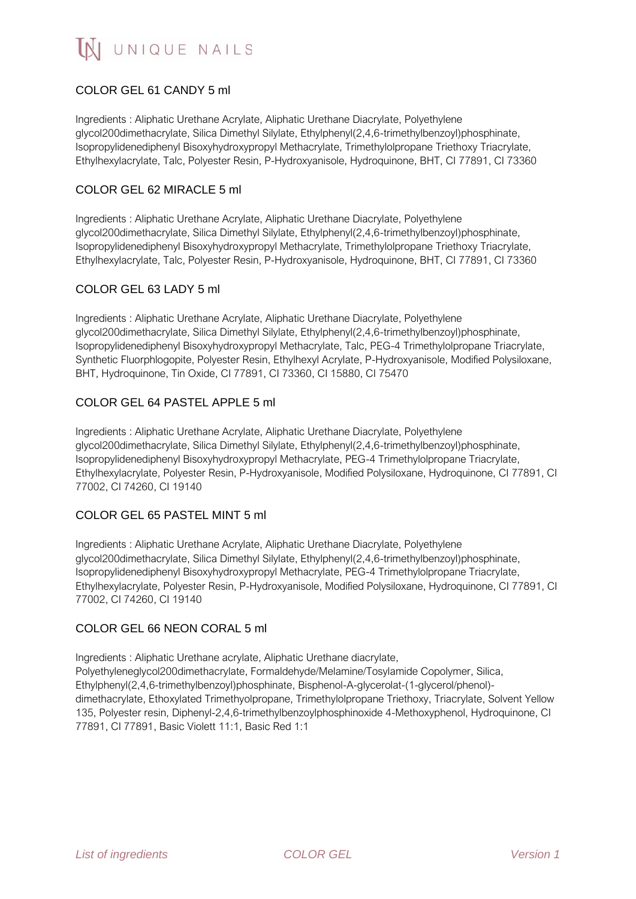# COLOR GEL 61 CANDY 5 ml

Ingredients : Aliphatic Urethane Acrylate, Aliphatic Urethane Diacrylate, Polyethylene glycol200dimethacrylate, Silica Dimethyl Silylate, Ethylphenyl(2,4,6-trimethylbenzoyl)phosphinate, Isopropylidenediphenyl Bisoxyhydroxypropyl Methacrylate, Trimethylolpropane Triethoxy Triacrylate, Ethylhexylacrylate, Talc, Polyester Resin, P-Hydroxyanisole, Hydroquinone, BHT, CI 77891, CI 73360

### COLOR GEL 62 MIRACLE 5 ml

Ingredients : Aliphatic Urethane Acrylate, Aliphatic Urethane Diacrylate, Polyethylene glycol200dimethacrylate, Silica Dimethyl Silylate, Ethylphenyl(2,4,6-trimethylbenzoyl)phosphinate, Isopropylidenediphenyl Bisoxyhydroxypropyl Methacrylate, Trimethylolpropane Triethoxy Triacrylate, Ethylhexylacrylate, Talc, Polyester Resin, P-Hydroxyanisole, Hydroquinone, BHT, CI 77891, CI 73360

## COLOR GEL 63 LADY 5 ml

Ingredients : Aliphatic Urethane Acrylate, Aliphatic Urethane Diacrylate, Polyethylene glycol200dimethacrylate, Silica Dimethyl Silylate, Ethylphenyl(2,4,6-trimethylbenzoyl)phosphinate, Isopropylidenediphenyl Bisoxyhydroxypropyl Methacrylate, Talc, PEG-4 Trimethylolpropane Triacrylate, Synthetic Fluorphlogopite, Polyester Resin, Ethylhexyl Acrylate, P-Hydroxyanisole, Modified Polysiloxane, BHT, Hydroquinone, Tin Oxide, CI 77891, CI 73360, CI 15880, CI 75470

## COLOR GEL 64 PASTEL APPLE 5 ml

Ingredients : Aliphatic Urethane Acrylate, Aliphatic Urethane Diacrylate, Polyethylene glycol200dimethacrylate, Silica Dimethyl Silylate, Ethylphenyl(2,4,6-trimethylbenzoyl)phosphinate, Isopropylidenediphenyl Bisoxyhydroxypropyl Methacrylate, PEG-4 Trimethylolpropane Triacrylate, Ethylhexylacrylate, Polyester Resin, P-Hydroxyanisole, Modified Polysiloxane, Hydroquinone, CI 77891, CI 77002, CI 74260, CI 19140

# COLOR GEL 65 PASTEL MINT 5 ml

Ingredients : Aliphatic Urethane Acrylate, Aliphatic Urethane Diacrylate, Polyethylene glycol200dimethacrylate, Silica Dimethyl Silylate, Ethylphenyl(2,4,6-trimethylbenzoyl)phosphinate, Isopropylidenediphenyl Bisoxyhydroxypropyl Methacrylate, PEG-4 Trimethylolpropane Triacrylate, Ethylhexylacrylate, Polyester Resin, P-Hydroxyanisole, Modified Polysiloxane, Hydroquinone, CI 77891, CI 77002, CI 74260, CI 19140

### COLOR GEL 66 NEON CORAL 5 ml

Ingredients : Aliphatic Urethane acrylate, Aliphatic Urethane diacrylate,

Polyethyleneglycol200dimethacrylate, Formaldehyde/Melamine/Tosylamide Copolymer, Silica, Ethylphenyl(2,4,6-trimethylbenzoyl)phosphinate, Bisphenol-A-glycerolat-(1-glycerol/phenol) dimethacrylate, Ethoxylated Trimethyolpropane, Trimethylolpropane Triethoxy, Triacrylate, Solvent Yellow 135, Polyester resin, Diphenyl-2,4,6-trimethylbenzoylphosphinoxide 4-Methoxyphenol, Hydroquinone, CI 77891, CI 77891, Basic Violett 11:1, Basic Red 1:1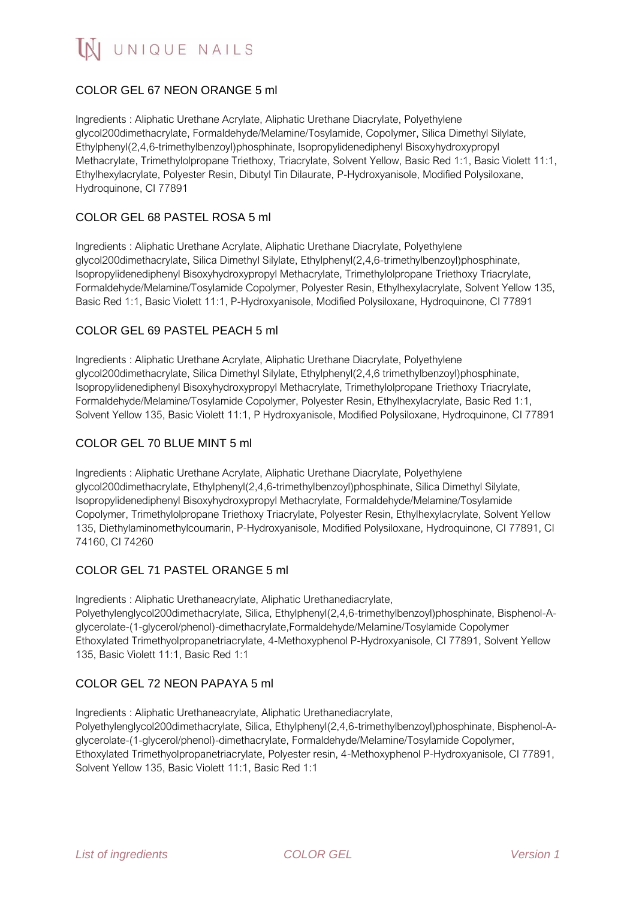# COLOR GEL 67 NEON ORANGE 5 ml

Ingredients : Aliphatic Urethane Acrylate, Aliphatic Urethane Diacrylate, Polyethylene glycol200dimethacrylate, Formaldehyde/Melamine/Tosylamide, Copolymer, Silica Dimethyl Silylate, Ethylphenyl(2,4,6-trimethylbenzoyl)phosphinate, Isopropylidenediphenyl Bisoxyhydroxypropyl Methacrylate, Trimethylolpropane Triethoxy, Triacrylate, Solvent Yellow, Basic Red 1:1, Basic Violett 11:1, Ethylhexylacrylate, Polyester Resin, Dibutyl Tin Dilaurate, P-Hydroxyanisole, Modified Polysiloxane, Hydroquinone, CI 77891

## COLOR GEL 68 PASTEL ROSA 5 ml

Ingredients : Aliphatic Urethane Acrylate, Aliphatic Urethane Diacrylate, Polyethylene glycol200dimethacrylate, Silica Dimethyl Silylate, Ethylphenyl(2,4,6-trimethylbenzoyl)phosphinate, Isopropylidenediphenyl Bisoxyhydroxypropyl Methacrylate, Trimethylolpropane Triethoxy Triacrylate, Formaldehyde/Melamine/Tosylamide Copolymer, Polyester Resin, Ethylhexylacrylate, Solvent Yellow 135, Basic Red 1:1, Basic Violett 11:1, P-Hydroxyanisole, Modified Polysiloxane, Hydroquinone, CI 77891

## COLOR GEL 69 PASTEL PEACH 5 ml

Ingredients : Aliphatic Urethane Acrylate, Aliphatic Urethane Diacrylate, Polyethylene glycol200dimethacrylate, Silica Dimethyl Silylate, Ethylphenyl(2,4,6 trimethylbenzoyl)phosphinate, Isopropylidenediphenyl Bisoxyhydroxypropyl Methacrylate, Trimethylolpropane Triethoxy Triacrylate, Formaldehyde/Melamine/Tosylamide Copolymer, Polyester Resin, Ethylhexylacrylate, Basic Red 1:1, Solvent Yellow 135, Basic Violett 11:1, P Hydroxyanisole, Modified Polysiloxane, Hydroquinone, CI 77891

#### COLOR GEL 70 BLUE MINT 5 ml

Ingredients : Aliphatic Urethane Acrylate, Aliphatic Urethane Diacrylate, Polyethylene glycol200dimethacrylate, Ethylphenyl(2,4,6-trimethylbenzoyl)phosphinate, Silica Dimethyl Silylate, Isopropylidenediphenyl Bisoxyhydroxypropyl Methacrylate, Formaldehyde/Melamine/Tosylamide Copolymer, Trimethylolpropane Triethoxy Triacrylate, Polyester Resin, Ethylhexylacrylate, Solvent Yellow 135, Diethylaminomethylcoumarin, P-Hydroxyanisole, Modified Polysiloxane, Hydroquinone, CI 77891, CI 74160, CI 74260

### COLOR GEL 71 PASTEL ORANGE 5 ml

Ingredients : Aliphatic Urethaneacrylate, Aliphatic Urethanediacrylate,

Polyethylenglycol200dimethacrylate, Silica, Ethylphenyl(2,4,6-trimethylbenzoyl)phosphinate, Bisphenol-Aglycerolate-(1-glycerol/phenol)-dimethacrylate,Formaldehyde/Melamine/Tosylamide Copolymer Ethoxylated Trimethyolpropanetriacrylate, 4-Methoxyphenol P-Hydroxyanisole, CI 77891, Solvent Yellow 135, Basic Violett 11:1, Basic Red 1:1

### COLOR GEL 72 NEON PAPAYA 5 ml

Ingredients : Aliphatic Urethaneacrylate, Aliphatic Urethanediacrylate,

Polyethylenglycol200dimethacrylate, Silica, Ethylphenyl(2,4,6-trimethylbenzoyl)phosphinate, Bisphenol-Aglycerolate-(1-glycerol/phenol)-dimethacrylate, Formaldehyde/Melamine/Tosylamide Copolymer, Ethoxylated Trimethyolpropanetriacrylate, Polyester resin, 4-Methoxyphenol P-Hydroxyanisole, CI 77891, Solvent Yellow 135, Basic Violett 11:1, Basic Red 1:1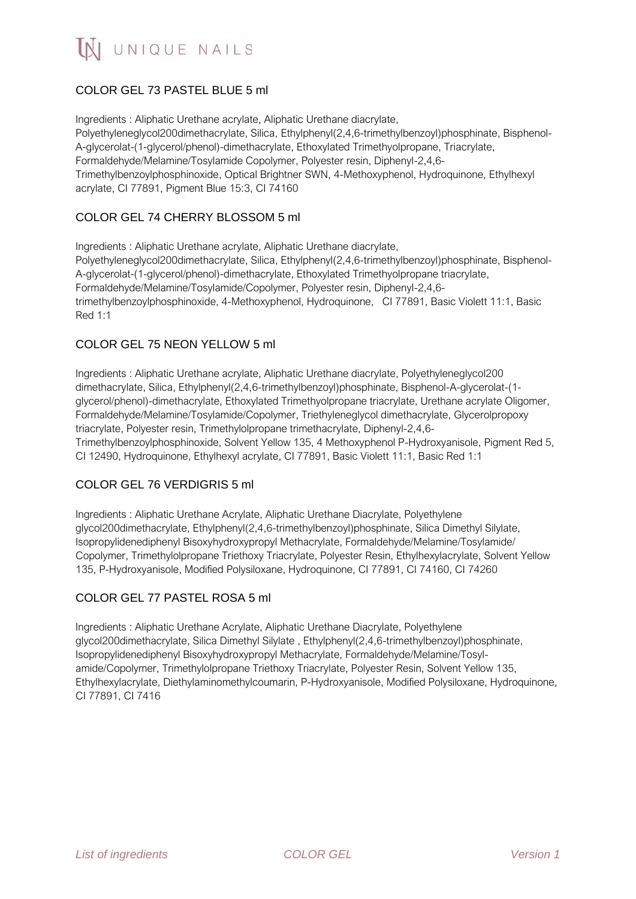# COLOR GEL 73 PASTEL BLUE 5 ml

Ingredients : Aliphatic Urethane acrylate, Aliphatic Urethane diacrylate, Polyethyleneglycol200dimethacrylate, Silica, Ethylphenyl(2,4,6-trimethylbenzoyl)phosphinate, Bisphenol-A-glycerolat-(1-glycerol/phenol)-dimethacrylate, Ethoxylated Trimethyolpropane, Triacrylate, Formaldehyde/Melamine/Tosylamide Copolymer, Polyester resin, Diphenyl-2,4,6- Trimethylbenzoylphosphinoxide, Optical Brightner SWN, 4-Methoxyphenol, Hydroquinone, Ethylhexyl acrylate, CI 77891, Pigment Blue 15:3, CI 74160

# COLOR GEL 74 CHERRY BLOSSOM 5 ml

Ingredients : Aliphatic Urethane acrylate, Aliphatic Urethane diacrylate, Polyethyleneglycol200dimethacrylate, Silica, Ethylphenyl(2,4,6-trimethylbenzoyl)phosphinate, Bisphenol-A-glycerolat-(1-glycerol/phenol)-dimethacrylate, Ethoxylated Trimethyolpropane triacrylate, Formaldehyde/Melamine/Tosylamide/Copolymer, Polyester resin, Diphenyl-2,4,6 trimethylbenzoylphosphinoxide, 4-Methoxyphenol, Hydroquinone, CI 77891, Basic Violett 11:1, Basic Red 1:1

### COLOR GEL 75 NEON YELLOW 5 ml

Ingredients : Aliphatic Urethane acrylate, Aliphatic Urethane diacrylate, Polyethyleneglycol200 dimethacrylate, Silica, Ethylphenyl(2,4,6-trimethylbenzoyl)phosphinate, Bisphenol-A-glycerolat-(1 glycerol/phenol)-dimethacrylate, Ethoxylated Trimethyolpropane triacrylate, Urethane acrylate Oligomer, Formaldehyde/Melamine/Tosylamide/Copolymer, Triethyleneglycol dimethacrylate, Glycerolpropoxy triacrylate, Polyester resin, Trimethylolpropane trimethacrylate, Diphenyl-2,4,6- Trimethylbenzoylphosphinoxide, Solvent Yellow 135, 4 Methoxyphenol P-Hydroxyanisole, Pigment Red 5, CI 12490, Hydroquinone, Ethylhexyl acrylate, CI 77891, Basic Violett 11:1, Basic Red 1:1

### COLOR GEL 76 VERDIGRIS 5 ml

Ingredients : Aliphatic Urethane Acrylate, Aliphatic Urethane Diacrylate, Polyethylene glycol200dimethacrylate, Ethylphenyl(2,4,6-trimethylbenzoyl)phosphinate, Silica Dimethyl Silylate, Isopropylidenediphenyl Bisoxyhydroxypropyl Methacrylate, Formaldehyde/Melamine/Tosylamide/ Copolymer, Trimethylolpropane Triethoxy Triacrylate, Polyester Resin, Ethylhexylacrylate, Solvent Yellow 135, P-Hydroxyanisole, Modified Polysiloxane, Hydroquinone, CI 77891, CI 74160, CI 74260

### COLOR GEL 77 PASTEL ROSA 5 ml

Ingredients : Aliphatic Urethane Acrylate, Aliphatic Urethane Diacrylate, Polyethylene glycol200dimethacrylate, Silica Dimethyl Silylate , Ethylphenyl(2,4,6-trimethylbenzoyl)phosphinate, Isopropylidenediphenyl Bisoxyhydroxypropyl Methacrylate, Formaldehyde/Melamine/Tosylamide/Copolymer, Trimethylolpropane Triethoxy Triacrylate, Polyester Resin, Solvent Yellow 135, Ethylhexylacrylate, Diethylaminomethylcoumarin, P-Hydroxyanisole, Modified Polysiloxane, Hydroquinone, CI 77891, CI 7416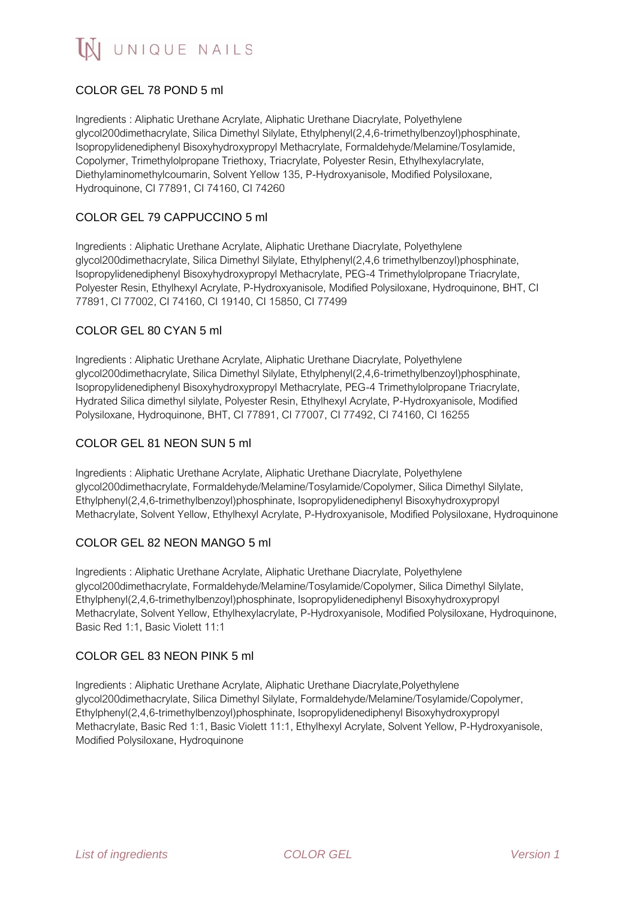# COLOR GEL 78 POND 5 ml

Ingredients : Aliphatic Urethane Acrylate, Aliphatic Urethane Diacrylate, Polyethylene glycol200dimethacrylate, Silica Dimethyl Silylate, Ethylphenyl(2,4,6-trimethylbenzoyl)phosphinate, Isopropylidenediphenyl Bisoxyhydroxypropyl Methacrylate, Formaldehyde/Melamine/Tosylamide, Copolymer, Trimethylolpropane Triethoxy, Triacrylate, Polyester Resin, Ethylhexylacrylate, Diethylaminomethylcoumarin, Solvent Yellow 135, P-Hydroxyanisole, Modified Polysiloxane, Hydroquinone, CI 77891, CI 74160, CI 74260

# COLOR GEL 79 CAPPUCCINO 5 ml

Ingredients : Aliphatic Urethane Acrylate, Aliphatic Urethane Diacrylate, Polyethylene glycol200dimethacrylate, Silica Dimethyl Silylate, Ethylphenyl(2,4,6 trimethylbenzoyl)phosphinate, Isopropylidenediphenyl Bisoxyhydroxypropyl Methacrylate, PEG-4 Trimethylolpropane Triacrylate, Polyester Resin, Ethylhexyl Acrylate, P-Hydroxyanisole, Modified Polysiloxane, Hydroquinone, BHT, CI 77891, CI 77002, CI 74160, CI 19140, CI 15850, CI 77499

## COLOR GEL 80 CYAN 5 ml

Ingredients : Aliphatic Urethane Acrylate, Aliphatic Urethane Diacrylate, Polyethylene glycol200dimethacrylate, Silica Dimethyl Silylate, Ethylphenyl(2,4,6-trimethylbenzoyl)phosphinate, Isopropylidenediphenyl Bisoxyhydroxypropyl Methacrylate, PEG-4 Trimethylolpropane Triacrylate, Hydrated Silica dimethyl silylate, Polyester Resin, Ethylhexyl Acrylate, P-Hydroxyanisole, Modified Polysiloxane, Hydroquinone, BHT, CI 77891, CI 77007, CI 77492, CI 74160, CI 16255

#### COLOR GEL 81 NEON SUN 5 ml

Ingredients : Aliphatic Urethane Acrylate, Aliphatic Urethane Diacrylate, Polyethylene glycol200dimethacrylate, Formaldehyde/Melamine/Tosylamide/Copolymer, Silica Dimethyl Silylate, Ethylphenyl(2,4,6-trimethylbenzoyl)phosphinate, Isopropylidenediphenyl Bisoxyhydroxypropyl Methacrylate, Solvent Yellow, Ethylhexyl Acrylate, P-Hydroxyanisole, Modified Polysiloxane, Hydroquinone

### COLOR GEL 82 NEON MANGO 5 ml

Ingredients : Aliphatic Urethane Acrylate, Aliphatic Urethane Diacrylate, Polyethylene glycol200dimethacrylate, Formaldehyde/Melamine/Tosylamide/Copolymer, Silica Dimethyl Silylate, Ethylphenyl(2,4,6-trimethylbenzoyl)phosphinate, Isopropylidenediphenyl Bisoxyhydroxypropyl Methacrylate, Solvent Yellow, Ethylhexylacrylate, P-Hydroxyanisole, Modified Polysiloxane, Hydroquinone, Basic Red 1:1, Basic Violett 11:1

#### COLOR GEL 83 NEON PINK 5 ml

Ingredients : Aliphatic Urethane Acrylate, Aliphatic Urethane Diacrylate,Polyethylene glycol200dimethacrylate, Silica Dimethyl Silylate, Formaldehyde/Melamine/Tosylamide/Copolymer, Ethylphenyl(2,4,6-trimethylbenzoyl)phosphinate, Isopropylidenediphenyl Bisoxyhydroxypropyl Methacrylate, Basic Red 1:1, Basic Violett 11:1, Ethylhexyl Acrylate, Solvent Yellow, P-Hydroxyanisole, Modified Polysiloxane, Hydroquinone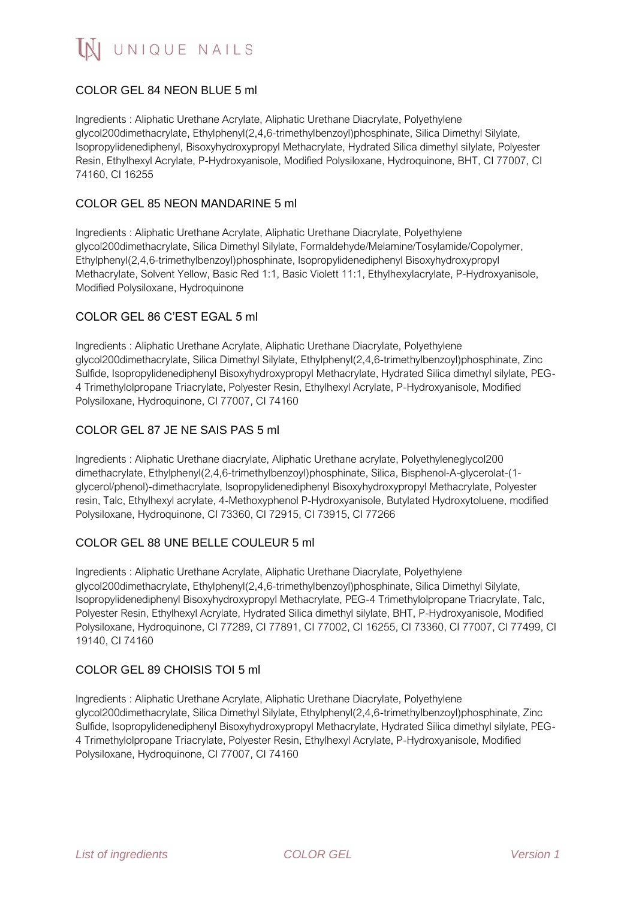# COLOR GEL 84 NEON BLUE 5 ml

Ingredients : Aliphatic Urethane Acrylate, Aliphatic Urethane Diacrylate, Polyethylene glycol200dimethacrylate, Ethylphenyl(2,4,6-trimethylbenzoyl)phosphinate, Silica Dimethyl Silylate, Isopropylidenediphenyl, Bisoxyhydroxypropyl Methacrylate, Hydrated Silica dimethyl silylate, Polyester Resin, Ethylhexyl Acrylate, P-Hydroxyanisole, Modified Polysiloxane, Hydroquinone, BHT, CI 77007, CI 74160, CI 16255

### COLOR GEL 85 NEON MANDARINE 5 ml

Ingredients : Aliphatic Urethane Acrylate, Aliphatic Urethane Diacrylate, Polyethylene glycol200dimethacrylate, Silica Dimethyl Silylate, Formaldehyde/Melamine/Tosylamide/Copolymer, Ethylphenyl(2,4,6-trimethylbenzoyl)phosphinate, Isopropylidenediphenyl Bisoxyhydroxypropyl Methacrylate, Solvent Yellow, Basic Red 1:1, Basic Violett 11:1, Ethylhexylacrylate, P-Hydroxyanisole, Modified Polysiloxane, Hydroquinone

## COLOR GEL 86 C'EST EGAL 5 ml

Ingredients : Aliphatic Urethane Acrylate, Aliphatic Urethane Diacrylate, Polyethylene glycol200dimethacrylate, Silica Dimethyl Silylate, Ethylphenyl(2,4,6-trimethylbenzoyl)phosphinate, Zinc Sulfide, Isopropylidenediphenyl Bisoxyhydroxypropyl Methacrylate, Hydrated Silica dimethyl silylate, PEG-4 Trimethylolpropane Triacrylate, Polyester Resin, Ethylhexyl Acrylate, P-Hydroxyanisole, Modified Polysiloxane, Hydroquinone, CI 77007, CI 74160

## COLOR GEL 87 JE NE SAIS PAS 5 ml

Ingredients : Aliphatic Urethane diacrylate, Aliphatic Urethane acrylate, Polyethyleneglycol200 dimethacrylate, Ethylphenyl(2,4,6-trimethylbenzoyl)phosphinate, Silica, Bisphenol-A-glycerolat-(1 glycerol/phenol)-dimethacrylate, Isopropylidenediphenyl Bisoxyhydroxypropyl Methacrylate, Polyester resin, Talc, Ethylhexyl acrylate, 4-Methoxyphenol P-Hydroxyanisole, Butylated Hydroxytoluene, modified Polysiloxane, Hydroquinone, CI 73360, CI 72915, CI 73915, CI 77266

### COLOR GEL 88 UNE BELLE COULEUR 5 ml

Ingredients : Aliphatic Urethane Acrylate, Aliphatic Urethane Diacrylate, Polyethylene glycol200dimethacrylate, Ethylphenyl(2,4,6-trimethylbenzoyl)phosphinate, Silica Dimethyl Silylate, Isopropylidenediphenyl Bisoxyhydroxypropyl Methacrylate, PEG-4 Trimethylolpropane Triacrylate, Talc, Polyester Resin, Ethylhexyl Acrylate, Hydrated Silica dimethyl silylate, BHT, P-Hydroxyanisole, Modified Polysiloxane, Hydroquinone, CI 77289, CI 77891, CI 77002, CI 16255, CI 73360, CI 77007, CI 77499, CI 19140, CI 74160

### COLOR GEL 89 CHOISIS TOI 5 ml

Ingredients : Aliphatic Urethane Acrylate, Aliphatic Urethane Diacrylate, Polyethylene glycol200dimethacrylate, Silica Dimethyl Silylate, Ethylphenyl(2,4,6-trimethylbenzoyl)phosphinate, Zinc Sulfide, Isopropylidenediphenyl Bisoxyhydroxypropyl Methacrylate, Hydrated Silica dimethyl silylate, PEG-4 Trimethylolpropane Triacrylate, Polyester Resin, Ethylhexyl Acrylate, P-Hydroxyanisole, Modified Polysiloxane, Hydroquinone, CI 77007, CI 74160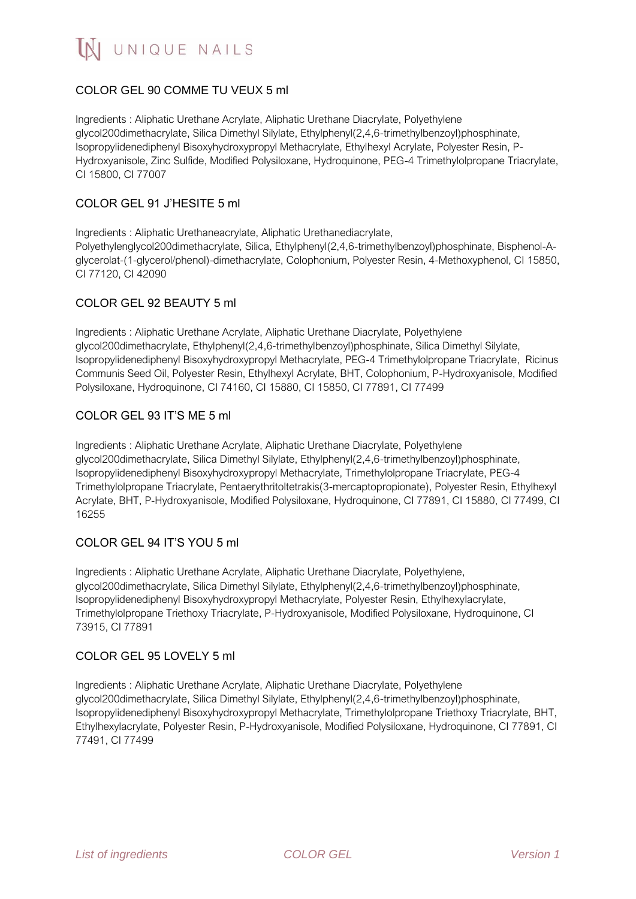# COLOR GEL 90 COMME TU VEUX 5 ml

Ingredients : Aliphatic Urethane Acrylate, Aliphatic Urethane Diacrylate, Polyethylene glycol200dimethacrylate, Silica Dimethyl Silylate, Ethylphenyl(2,4,6-trimethylbenzoyl)phosphinate, Isopropylidenediphenyl Bisoxyhydroxypropyl Methacrylate, Ethylhexyl Acrylate, Polyester Resin, P-Hydroxyanisole, Zinc Sulfide, Modified Polysiloxane, Hydroquinone, PEG-4 Trimethylolpropane Triacrylate, CI 15800, CI 77007

### COLOR GEL 91 J'HESITE 5 ml

Ingredients : Aliphatic Urethaneacrylate, Aliphatic Urethanediacrylate, Polyethylenglycol200dimethacrylate, Silica, Ethylphenyl(2,4,6-trimethylbenzoyl)phosphinate, Bisphenol-Aglycerolat-(1-glycerol/phenol)-dimethacrylate, Colophonium, Polyester Resin, 4-Methoxyphenol, CI 15850, CI 77120, CI 42090

## COLOR GEL 92 BEAUTY 5 ml

Ingredients : Aliphatic Urethane Acrylate, Aliphatic Urethane Diacrylate, Polyethylene glycol200dimethacrylate, Ethylphenyl(2,4,6-trimethylbenzoyl)phosphinate, Silica Dimethyl Silylate, Isopropylidenediphenyl Bisoxyhydroxypropyl Methacrylate, PEG-4 Trimethylolpropane Triacrylate, Ricinus Communis Seed Oil, Polyester Resin, Ethylhexyl Acrylate, BHT, Colophonium, P-Hydroxyanisole, Modified Polysiloxane, Hydroquinone, CI 74160, CI 15880, CI 15850, CI 77891, CI 77499

### COLOR GEL 93 IT'S ME 5 ml

Ingredients : Aliphatic Urethane Acrylate, Aliphatic Urethane Diacrylate, Polyethylene glycol200dimethacrylate, Silica Dimethyl Silylate, Ethylphenyl(2,4,6-trimethylbenzoyl)phosphinate, Isopropylidenediphenyl Bisoxyhydroxypropyl Methacrylate, Trimethylolpropane Triacrylate, PEG-4 Trimethylolpropane Triacrylate, Pentaerythritoltetrakis(3-mercaptopropionate), Polyester Resin, Ethylhexyl Acrylate, BHT, P-Hydroxyanisole, Modified Polysiloxane, Hydroquinone, CI 77891, CI 15880, CI 77499, CI 16255

# COLOR GEL 94 IT'S YOU 5 ml

Ingredients : Aliphatic Urethane Acrylate, Aliphatic Urethane Diacrylate, Polyethylene, glycol200dimethacrylate, Silica Dimethyl Silylate, Ethylphenyl(2,4,6-trimethylbenzoyl)phosphinate, Isopropylidenediphenyl Bisoxyhydroxypropyl Methacrylate, Polyester Resin, Ethylhexylacrylate, Trimethylolpropane Triethoxy Triacrylate, P-Hydroxyanisole, Modified Polysiloxane, Hydroquinone, CI 73915, CI 77891

### COLOR GEL 95 LOVELY 5 ml

Ingredients : Aliphatic Urethane Acrylate, Aliphatic Urethane Diacrylate, Polyethylene glycol200dimethacrylate, Silica Dimethyl Silylate, Ethylphenyl(2,4,6-trimethylbenzoyl)phosphinate, Isopropylidenediphenyl Bisoxyhydroxypropyl Methacrylate, Trimethylolpropane Triethoxy Triacrylate, BHT, Ethylhexylacrylate, Polyester Resin, P-Hydroxyanisole, Modified Polysiloxane, Hydroquinone, CI 77891, CI 77491, CI 77499